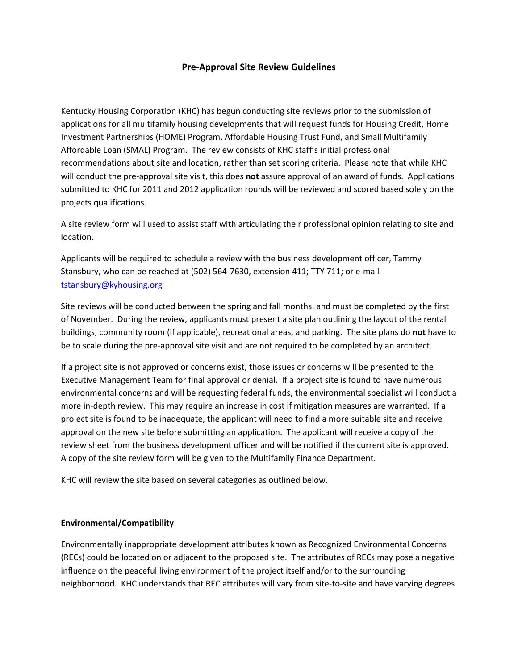## **Pre-Approval Site Review Guidelines**

Kentucky Housing Corporation (KHC) has begun conducting site reviews prior to the submission of applications for all multifamily housing developments that will request funds for Housing Credit, Home Investment Partnerships (HOME) Program, Affordable Housing Trust Fund, and Small Multifamily Affordable Loan (SMAL) Program. The review consists of KHC staff's initial professional recommendations about site and location, rather than set scoring criteria. Please note that while KHC will conduct the pre-approval site visit, this does **not** assure approval of an award of funds. Applications submitted to KHC for 2011 and 2012 application rounds will be reviewed and scored based solely on the projects qualifications.

A site review form will used to assist staff with articulating their professional opinion relating to site and location.

Applicants will be required to schedule a review with the business development officer, Tammy Stansbury, who can be reached at (502) 564-7630, extension 411; TTY 711; or e-mail [tstansbury@kyhousing.org](mailto:tstansbury@kyhousing.org)

Site reviews will be conducted between the spring and fall months, and must be completed by the first of November. During the review, applicants must present a site plan outlining the layout of the rental buildings, community room (if applicable), recreational areas, and parking. The site plans do **not** have to be to scale during the pre-approval site visit and are not required to be completed by an architect.

If a project site is not approved or concerns exist, those issues or concerns will be presented to the Executive Management Team for final approval or denial. If a project site is found to have numerous environmental concerns and will be requesting federal funds, the environmental specialist will conduct a more in-depth review. This may require an increase in cost if mitigation measures are warranted. If a project site is found to be inadequate, the applicant will need to find a more suitable site and receive approval on the new site before submitting an application. The applicant will receive a copy of the review sheet from the business development officer and will be notified if the current site is approved. A copy of the site review form will be given to the Multifamily Finance Department.

KHC will review the site based on several categories as outlined below.

### **Environmental/Compatibility**

Environmentally inappropriate development attributes known as Recognized Environmental Concerns (RECs) could be located on or adjacent to the proposed site. The attributes of RECs may pose a negative influence on the peaceful living environment of the project itself and/or to the surrounding neighborhood. KHC understands that REC attributes will vary from site-to-site and have varying degrees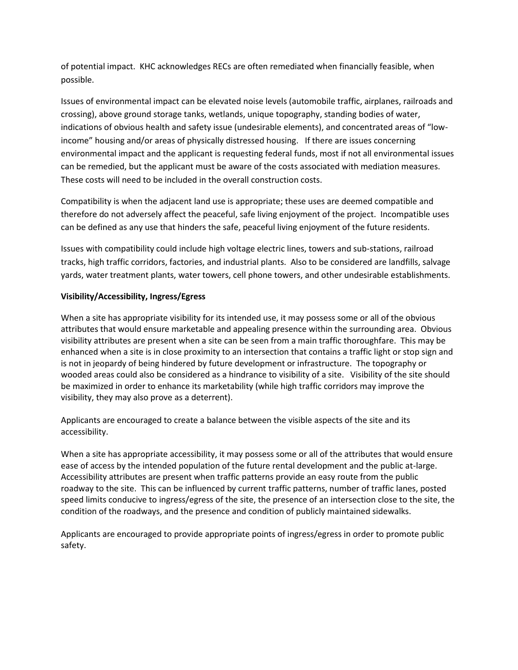of potential impact. KHC acknowledges RECs are often remediated when financially feasible, when possible.

Issues of environmental impact can be elevated noise levels (automobile traffic, airplanes, railroads and crossing), above ground storage tanks, wetlands, unique topography, standing bodies of water, indications of obvious health and safety issue (undesirable elements), and concentrated areas of "lowincome" housing and/or areas of physically distressed housing. If there are issues concerning environmental impact and the applicant is requesting federal funds, most if not all environmental issues can be remedied, but the applicant must be aware of the costs associated with mediation measures. These costs will need to be included in the overall construction costs.

Compatibility is when the adjacent land use is appropriate; these uses are deemed compatible and therefore do not adversely affect the peaceful, safe living enjoyment of the project. Incompatible uses can be defined as any use that hinders the safe, peaceful living enjoyment of the future residents.

Issues with compatibility could include high voltage electric lines, towers and sub-stations, railroad tracks, high traffic corridors, factories, and industrial plants. Also to be considered are landfills, salvage yards, water treatment plants, water towers, cell phone towers, and other undesirable establishments.

# **Visibility/Accessibility, Ingress/Egress**

When a site has appropriate visibility for its intended use, it may possess some or all of the obvious attributes that would ensure marketable and appealing presence within the surrounding area. Obvious visibility attributes are present when a site can be seen from a main traffic thoroughfare. This may be enhanced when a site is in close proximity to an intersection that contains a traffic light or stop sign and is not in jeopardy of being hindered by future development or infrastructure. The topography or wooded areas could also be considered as a hindrance to visibility of a site. Visibility of the site should be maximized in order to enhance its marketability (while high traffic corridors may improve the visibility, they may also prove as a deterrent).

Applicants are encouraged to create a balance between the visible aspects of the site and its accessibility.

When a site has appropriate accessibility, it may possess some or all of the attributes that would ensure ease of access by the intended population of the future rental development and the public at-large. Accessibility attributes are present when traffic patterns provide an easy route from the public roadway to the site. This can be influenced by current traffic patterns, number of traffic lanes, posted speed limits conducive to ingress/egress of the site, the presence of an intersection close to the site, the condition of the roadways, and the presence and condition of publicly maintained sidewalks.

Applicants are encouraged to provide appropriate points of ingress/egress in order to promote public safety.